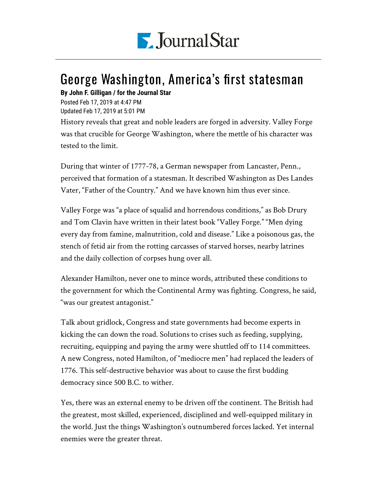

## George Washington, America's first statesman

## **By John F. Gilligan / for the Journal Star**

Posted Feb 17, 2019 at 4:47 PM Updated Feb 17, 2019 at 5:01 PM

History reveals that great and noble leaders are forged in adversity. Valley Forge was that crucible for George Washington, where the mettle of his character was tested to the limit.

During that winter of 1777-78, a German newspaper from Lancaster, Penn., perceived that formation of a statesman. It described Washington as Des Landes Vater, "Father of the Country." And we have known him thus ever since.

Valley Forge was "a place of squalid and horrendous conditions," as Bob Drury and Tom Clavin have written in their latest book "Valley Forge." "Men dying every day from famine, malnutrition, cold and disease." Like a poisonous gas, the stench of fetid air from the rotting carcasses of starved horses, nearby latrines and the daily collection of corpses hung over all.

Alexander Hamilton, never one to mince words, attributed these conditions to the government for which the Continental Army was fighting. Congress, he said, "was our greatest antagonist."

Talk about gridlock, Congress and state governments had become experts in kicking the can down the road. Solutions to crises such as feeding, supplying, recruiting, equipping and paying the army were shuttled off to 114 committees. A new Congress, noted Hamilton, of "mediocre men" had replaced the leaders of 1776. This self-destructive behavior was about to cause the first budding democracy since 500 B.C. to wither.

Yes, there was an external enemy to be driven off the continent. The British had the greatest, most skilled, experienced, disciplined and well-equipped military in the world. Just the things Washington's outnumbered forces lacked. Yet internal enemies were the greater threat.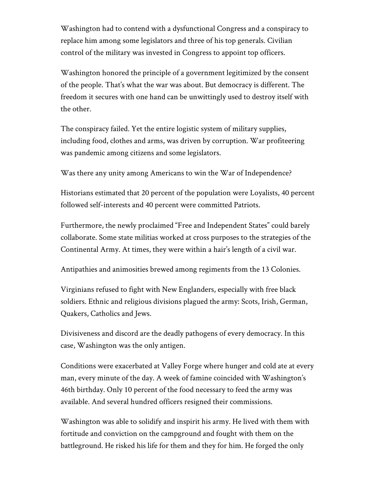Washington had to contend with a dysfunctional Congress and a conspiracy to replace him among some legislators and three of his top generals. Civilian control of the military was invested in Congress to appoint top officers.

Washington honored the principle of a government legitimized by the consent of the people. That's what the war was about. But democracy is different. The freedom it secures with one hand can be unwittingly used to destroy itself with the other.

The conspiracy failed. Yet the entire logistic system of military supplies, including food, clothes and arms, was driven by corruption. War profiteering was pandemic among citizens and some legislators.

Was there any unity among Americans to win the War of Independence?

Historians estimated that 20 percent of the population were Loyalists, 40 percent followed self-interests and 40 percent were committed Patriots.

Furthermore, the newly proclaimed "Free and Independent States" could barely collaborate. Some state militias worked at cross purposes to the strategies of the Continental Army. At times, they were within a hair's length of a civil war.

Antipathies and animosities brewed among regiments from the 13 Colonies.

Virginians refused to fight with New Englanders, especially with free black soldiers. Ethnic and religious divisions plagued the army: Scots, Irish, German, Quakers, Catholics and Jews.

Divisiveness and discord are the deadly pathogens of every democracy. In this case, Washington was the only antigen.

Conditions were exacerbated at Valley Forge where hunger and cold ate at every man, every minute of the day. A week of famine coincided with Washington's 46th birthday. Only 10 percent of the food necessary to feed the army was available. And several hundred officers resigned their commissions.

Washington was able to solidify and inspirit his army. He lived with them with fortitude and conviction on the campground and fought with them on the battleground. He risked his life for them and they for him. He forged the only